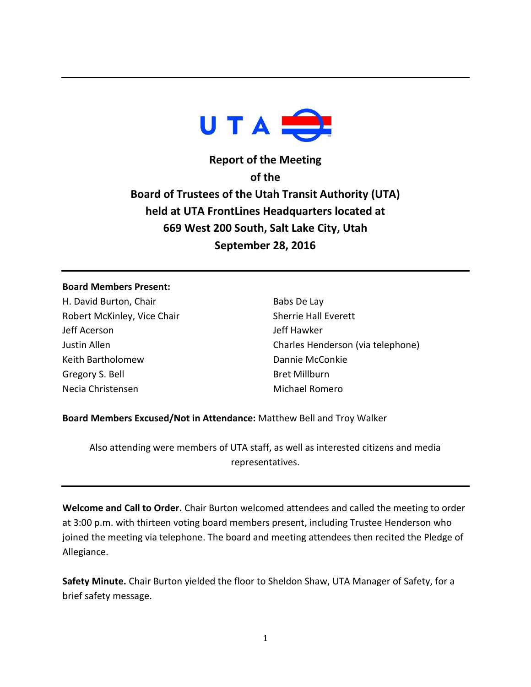

**Report of the Meeting of the Board of Trustees of the Utah Transit Authority (UTA) held at UTA FrontLines Headquarters located at 669 West 200 South, Salt Lake City, Utah September 28, 2016**

#### **Board Members Present:**

H. David Burton, Chair Robert McKinley, Vice Chair Jeff Acerson Justin Allen Keith Bartholomew Gregory S. Bell Necia Christensen

Babs De Lay Sherrie Hall Everett Jeff Hawker Charles Henderson (via telephone) Dannie McConkie Bret Millburn Michael Romero

### **Board Members Excused/Not in Attendance:** Matthew Bell and Troy Walker

Also attending were members of UTA staff, as well as interested citizens and media representatives.

**Welcome and Call to Order.** Chair Burton welcomed attendees and called the meeting to order at 3:00 p.m. with thirteen voting board members present, including Trustee Henderson who joined the meeting via telephone. The board and meeting attendees then recited the Pledge of Allegiance.

**Safety Minute.** Chair Burton yielded the floor to Sheldon Shaw, UTA Manager of Safety, for a brief safety message.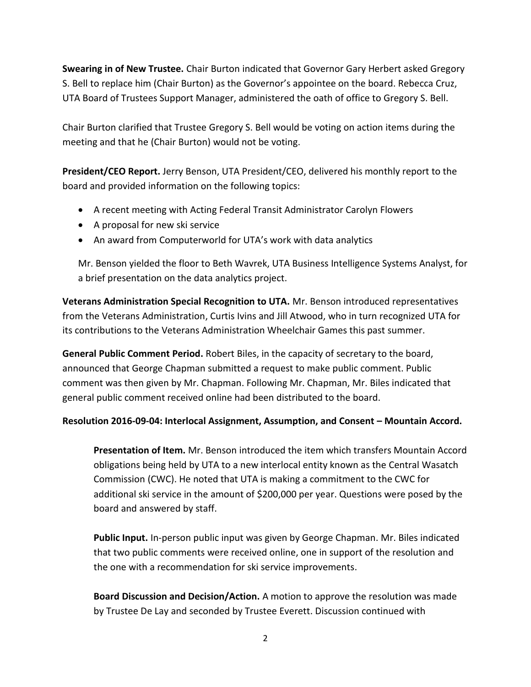**Swearing in of New Trustee.** Chair Burton indicated that Governor Gary Herbert asked Gregory S. Bell to replace him (Chair Burton) as the Governor's appointee on the board. Rebecca Cruz, UTA Board of Trustees Support Manager, administered the oath of office to Gregory S. Bell.

Chair Burton clarified that Trustee Gregory S. Bell would be voting on action items during the meeting and that he (Chair Burton) would not be voting.

**President/CEO Report.** Jerry Benson, UTA President/CEO, delivered his monthly report to the board and provided information on the following topics:

- A recent meeting with Acting Federal Transit Administrator Carolyn Flowers
- A proposal for new ski service
- An award from Computerworld for UTA's work with data analytics

Mr. Benson yielded the floor to Beth Wavrek, UTA Business Intelligence Systems Analyst, for a brief presentation on the data analytics project.

**Veterans Administration Special Recognition to UTA.** Mr. Benson introduced representatives from the Veterans Administration, Curtis Ivins and Jill Atwood, who in turn recognized UTA for its contributions to the Veterans Administration Wheelchair Games this past summer.

**General Public Comment Period.** Robert Biles, in the capacity of secretary to the board, announced that George Chapman submitted a request to make public comment. Public comment was then given by Mr. Chapman. Following Mr. Chapman, Mr. Biles indicated that general public comment received online had been distributed to the board.

# **Resolution 2016-09-04: Interlocal Assignment, Assumption, and Consent – Mountain Accord.**

**Presentation of Item.** Mr. Benson introduced the item which transfers Mountain Accord obligations being held by UTA to a new interlocal entity known as the Central Wasatch Commission (CWC). He noted that UTA is making a commitment to the CWC for additional ski service in the amount of \$200,000 per year. Questions were posed by the board and answered by staff.

**Public Input.** In-person public input was given by George Chapman. Mr. Biles indicated that two public comments were received online, one in support of the resolution and the one with a recommendation for ski service improvements.

**Board Discussion and Decision/Action.** A motion to approve the resolution was made by Trustee De Lay and seconded by Trustee Everett. Discussion continued with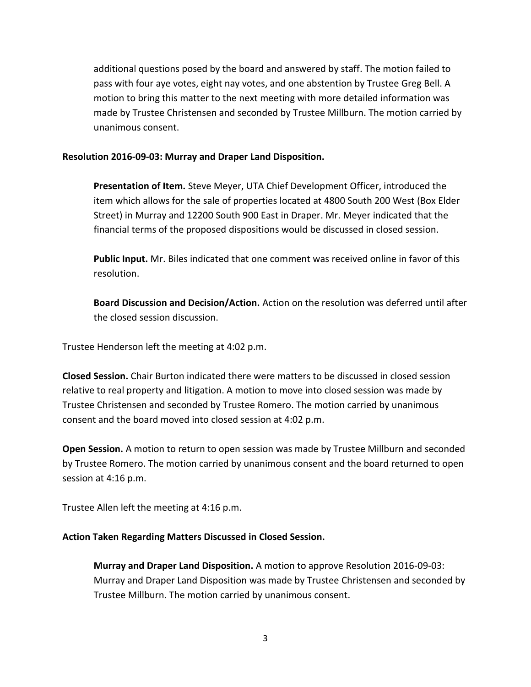additional questions posed by the board and answered by staff. The motion failed to pass with four aye votes, eight nay votes, and one abstention by Trustee Greg Bell. A motion to bring this matter to the next meeting with more detailed information was made by Trustee Christensen and seconded by Trustee Millburn. The motion carried by unanimous consent.

### **Resolution 2016-09-03: Murray and Draper Land Disposition.**

**Presentation of Item.** Steve Meyer, UTA Chief Development Officer, introduced the item which allows for the sale of properties located at 4800 South 200 West (Box Elder Street) in Murray and 12200 South 900 East in Draper. Mr. Meyer indicated that the financial terms of the proposed dispositions would be discussed in closed session.

**Public Input.** Mr. Biles indicated that one comment was received online in favor of this resolution.

**Board Discussion and Decision/Action.** Action on the resolution was deferred until after the closed session discussion.

Trustee Henderson left the meeting at 4:02 p.m.

**Closed Session.** Chair Burton indicated there were matters to be discussed in closed session relative to real property and litigation. A motion to move into closed session was made by Trustee Christensen and seconded by Trustee Romero. The motion carried by unanimous consent and the board moved into closed session at 4:02 p.m.

**Open Session.** A motion to return to open session was made by Trustee Millburn and seconded by Trustee Romero. The motion carried by unanimous consent and the board returned to open session at 4:16 p.m.

Trustee Allen left the meeting at 4:16 p.m.

### **Action Taken Regarding Matters Discussed in Closed Session.**

**Murray and Draper Land Disposition.** A motion to approve Resolution 2016-09-03: Murray and Draper Land Disposition was made by Trustee Christensen and seconded by Trustee Millburn. The motion carried by unanimous consent.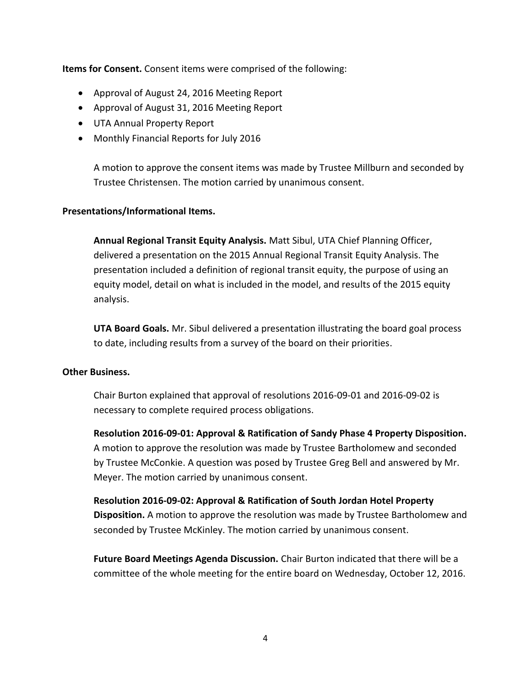**Items for Consent.** Consent items were comprised of the following:

- Approval of August 24, 2016 Meeting Report
- Approval of August 31, 2016 Meeting Report
- UTA Annual Property Report
- Monthly Financial Reports for July 2016

A motion to approve the consent items was made by Trustee Millburn and seconded by Trustee Christensen. The motion carried by unanimous consent.

## **Presentations/Informational Items.**

**Annual Regional Transit Equity Analysis.** Matt Sibul, UTA Chief Planning Officer, delivered a presentation on the 2015 Annual Regional Transit Equity Analysis. The presentation included a definition of regional transit equity, the purpose of using an equity model, detail on what is included in the model, and results of the 2015 equity analysis.

**UTA Board Goals.** Mr. Sibul delivered a presentation illustrating the board goal process to date, including results from a survey of the board on their priorities.

### **Other Business.**

Chair Burton explained that approval of resolutions 2016-09-01 and 2016-09-02 is necessary to complete required process obligations.

**Resolution 2016-09-01: Approval & Ratification of Sandy Phase 4 Property Disposition.** A motion to approve the resolution was made by Trustee Bartholomew and seconded by Trustee McConkie. A question was posed by Trustee Greg Bell and answered by Mr. Meyer. The motion carried by unanimous consent.

**Resolution 2016-09-02: Approval & Ratification of South Jordan Hotel Property Disposition.** A motion to approve the resolution was made by Trustee Bartholomew and seconded by Trustee McKinley. The motion carried by unanimous consent.

**Future Board Meetings Agenda Discussion.** Chair Burton indicated that there will be a committee of the whole meeting for the entire board on Wednesday, October 12, 2016.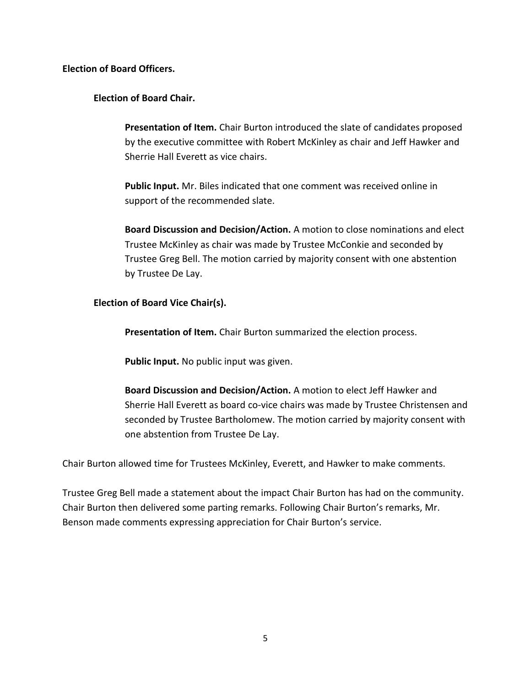**Election of Board Officers.**

# **Election of Board Chair.**

**Presentation of Item.** Chair Burton introduced the slate of candidates proposed by the executive committee with Robert McKinley as chair and Jeff Hawker and Sherrie Hall Everett as vice chairs.

**Public Input.** Mr. Biles indicated that one comment was received online in support of the recommended slate.

**Board Discussion and Decision/Action.** A motion to close nominations and elect Trustee McKinley as chair was made by Trustee McConkie and seconded by Trustee Greg Bell. The motion carried by majority consent with one abstention by Trustee De Lay.

## **Election of Board Vice Chair(s).**

**Presentation of Item.** Chair Burton summarized the election process.

**Public Input.** No public input was given.

**Board Discussion and Decision/Action.** A motion to elect Jeff Hawker and Sherrie Hall Everett as board co-vice chairs was made by Trustee Christensen and seconded by Trustee Bartholomew. The motion carried by majority consent with one abstention from Trustee De Lay.

Chair Burton allowed time for Trustees McKinley, Everett, and Hawker to make comments.

Trustee Greg Bell made a statement about the impact Chair Burton has had on the community. Chair Burton then delivered some parting remarks. Following Chair Burton's remarks, Mr. Benson made comments expressing appreciation for Chair Burton's service.